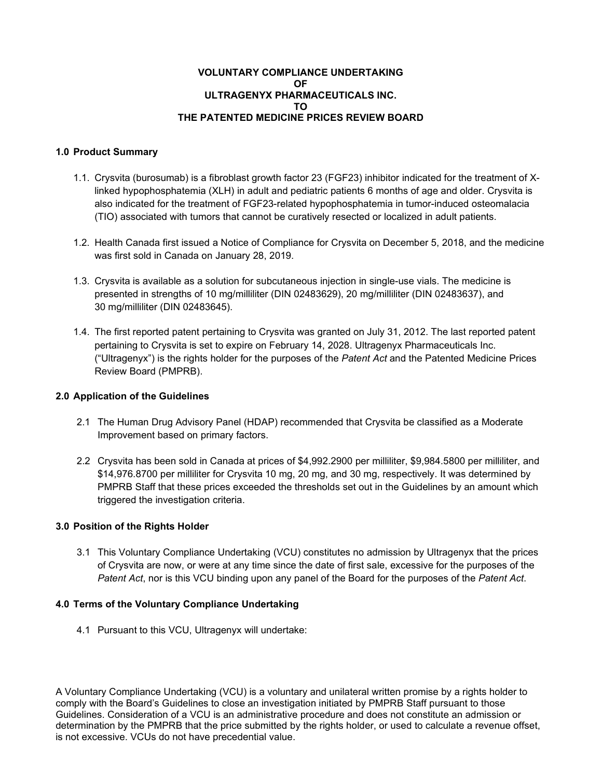# **VOLUNTARY COMPLIANCE UNDERTAKING OF ULTRAGENYX PHARMACEUTICALS INC. TO THE PATENTED MEDICINE PRICES REVIEW BOARD**

# **1.0 Product Summary**

- 1.1. Crysvita (burosumab) is a fibroblast growth factor 23 (FGF23) inhibitor indicated for the treatment of Xlinked hypophosphatemia (XLH) in adult and pediatric patients 6 months of age and older. Crysvita is also indicated for the treatment of FGF23-related hypophosphatemia in tumor-induced osteomalacia (TIO) associated with tumors that cannot be curatively resected or localized in adult patients.
- 1.2. Health Canada first issued a Notice of Compliance for Crysvita on December 5, 2018, and the medicine was first sold in Canada on January 28, 2019.
- 1.3. Crysvita is available as a solution for subcutaneous injection in single-use vials. The medicine is presented in strengths of 10 mg/milliliter (DIN 02483629), 20 mg/milliliter (DIN 02483637), and 30 mg/milliliter (DIN 02483645).
- 1.4. The first reported patent pertaining to Crysvita was granted on July 31, 2012. The last reported patent pertaining to Crysvita is set to expire on February 14, 2028. Ultragenyx Pharmaceuticals Inc. ("Ultragenyx") is the rights holder for the purposes of the *Patent Act* and the Patented Medicine Prices Review Board (PMPRB).

### **2.0 Application of the Guidelines**

- 2.1 The Human Drug Advisory Panel (HDAP) recommended that Crysvita be classified as a Moderate Improvement based on primary factors.
- 2.2 Crysvita has been sold in Canada at prices of \$4,992.2900 per milliliter, \$9,984.5800 per milliliter, and \$14,976.8700 per milliliter for Crysvita 10 mg, 20 mg, and 30 mg, respectively. It was determined by PMPRB Staff that these prices exceeded the thresholds set out in the Guidelines by an amount which triggered the investigation criteria.

### **3.0 Position of the Rights Holder**

3.1 This Voluntary Compliance Undertaking (VCU) constitutes no admission by Ultragenyx that the prices of Crysvita are now, or were at any time since the date of first sale, excessive for the purposes of the *Patent Act*, nor is this VCU binding upon any panel of the Board for the purposes of the *Patent Act*.

### **4.0 Terms of the Voluntary Compliance Undertaking**

4.1 Pursuant to this VCU, Ultragenyx will undertake:

A Voluntary Compliance Undertaking (VCU) is a voluntary and unilateral written promise by a rights holder to comply with the Board's Guidelines to close an investigation initiated by PMPRB Staff pursuant to those Guidelines. Consideration of a VCU is an administrative procedure and does not constitute an admission or determination by the PMPRB that the price submitted by the rights holder, or used to calculate a revenue offset, is not excessive. VCUs do not have precedential value.